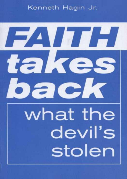# Kenneth Hagin Jr.

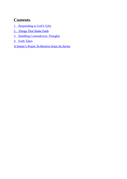# **Contents**

- 1 Responding to God's Gifts
- 2 Things That Shake Faith
- 3 Handling [Contradictory](#page-2-0) Thoughts
- 4 Faith [Takes](#page-5-0)
- A [Sinner's](#page-8-0) Prayer To Receive Jesus As Savior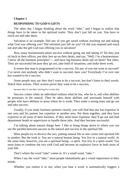#### <span id="page-2-0"></span>**RESPONDING TO GOD'S GIFTS**

The other day I began thinking about the word "take," and I began to realize that things have to be taken in the spiritual realm. They don't just fall on you. You have to reach out and take them.

Salvation is an example. Did any of you get saved without reaching out and taking what God was offering you? Did salvation just fall on you? Or did you respond and reach out and take the gift God was offering you in salvation?

How many businessmen attain success without going out and taking it? Do they just sit back in their offices, put their feet up on their desks, and say, "Well, I'm a businessman. I know all the business principles"— and have big business deals fall on them? Not often. They are successful because they go out, take hold of situations, and make them work.

It seems that man is programmed to be a success. Do any of you not want to succeed? I've never met anybody who didn't want to succeed, have you? Everybody I've ever met has wanted to be a success.

Some people may say they don't want to be a success, but don't listen to their words. Watch their actions. Their actions prove they want to be a success,

because they're out there striving for it every day.

Success comes when an individual realizes what he has, who he is, and what abilities he possesses in the natural. Then he takes those abilities and surrounds himself with people who have abilities in areas where he is weak. They make a strong team and go out and take success.

Usually, if you study business partners closely, you will find that one has expertise in one area and his partner has expertise in another area. Put them together, and they have expertise in all areas of their business. If they need more expertise, they'll go out and find department heads or supervisors to handle those jobs. And they become successful.

I'm talking about natural things here. I like to bring things down to where you can see the parallel between success in the natural and success in the spiritual life.

Most people try to divorce the two, putting natural life in one corner and spiritual life in another. But the truth is: You are a natural human being. You live in a natural world. At the same time, however, you are a spiritual being—a spirit. You live in a spirit world. You must learn to combine the two with God and become an explosive force in both areas of your life.

That's where the word "take" comes in. It's a small word, "take."

When I say the word "take," most people immediately get a visual impression in their minds.

Whether you realize it or not, when you hear a word, it automatically triggers a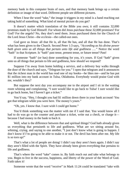memory bank in this computer brain of ours, and that memory bank brings up a certain definition or image of that word. Different people see different pictures.

When I hear the word "take," the image it triggers in my mind is a hand reaching out taking hold of something. What kind of mental picture do you get?

It doesn't matter which translation of the Bible you own; it still contains 32,000 promises made by God Himself. For whom did Jesus purchase these 32,000 promises? For God? For the angels? No, they don't need them. Jesus purchased them for the Church of the Lord Jesus Christ—the *ecclesia*—the called-out ones.

God gave us Jesus: all that He is, all that He has, and all that He has done. That's what has been given to the Church. Second Peter 1:3 says, *"According as his divine power hath given unto us all things that pertain unto life and godliness …."* Notice the word "hath" in that Scripture. Is "hath" past tense, present tense, or future tense? Past!

If someone "hath" (or has) done something for you, it's yours. If God "hath" given unto us all things that pertain to life and godliness, how should we respond?

Suppose I'm away from home holding a service, and a delivery boy walks through the door of the church and says, "Telegram for you." I open that telegram and it announces that the richest man in the world has read one of my books—he likes me—and he has put \$1 million into my bank account in Tulsa, Oklahoma. Everybody would praise God with me, wouldn't they?

But suppose the next day you accompany me to the airport and I sit in the waiting room whining and complaining, "I sure would like to go back to Tulsa! I sure would like to go back home, but I haven't got a ticket."

You'd say, "Hey, I thought you had \$1 million down there in your bank account! You got that telegram while you were here. The money's yours."

"Oh, yes. I know that. I sure wish I could get home."

You'd think something was the matter with me if I said that. You would know all I had to do was go to the counter and purchase a ticket, write out a check, or charge it because I had money in the bank to back it.

Well, what is the difference between that and spiritual things? God hath already given us everything that pertaineth to life and godliness. What are we sitting around for, whining, crying, and saying to one another, "I just don't know what is going to happen. I don't know if I'm going to be able to make it or not. The devil has been after me. My life is so torn up!"

That's what a lot of people are doing! I didn't say they aren't born again. I didn't say they aren't filled with the Spirit. They have already been given everything that pertains to life and godliness.

That's where the word "take" comes in. By faith reach out and take what belongs to you. Begin to live in the success, happiness, and liberty of the power of the Word of God. Faith takes it!

Someone wrote that the word "receive" in Mark 11:24 could be translated "take with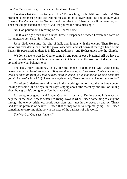force" or "seize with a grip that cannot be shaken loose."

Receive what God has for you. How? By reaching up in faith and taking it! The problem is that most people are waiting for God to hover over them like you do over your flowers. They're waiting for God to stand over the top of them with a little watering pot. Then they'll get excited and say, "God just poured me out a blessing!"

No, God poured out a blessing on the Church some

2,000 years ago when Jesus Christ Himself, suspended between heaven and earth on that rugged cross, said, "It is finished."

Jesus died, went into the pits of hell, and fought with the enemy. Then He rose victorious over death, hell, and the grave, ascended, and sat down at the right hand of the Father. He purchased all there is in life and godliness—and He has given it to the Church.

We don't have to wait for God to come by and pour us out a blessing! All we have to do is know who we are in Christ, what we are in Christ, what the Word of God says, reach up, and take what belongs to us!

The Holy Spirit could say to us, like the angels said to those who were gazing heavenward after Jesus' ascension, *"Why stand ye gazing up into heaven? this same Jesus, which is taken up from you into heaven, shall so come in like manner as ye have seen him go into heaven"* (Acts 1:11). Then the angels added, "Now go do what He told you to do."

Too often Christians are sitting here in this world, gazing off into the far blue yonder, looking for some kind of "pie in the sky," singing about "the sweet by-and-by," or talking about how great it's going to be "on the other side."

It's going to be good—and I thank God for it—but what I'm interested in is what can help me in the now. Now is when I'm living. Now is when I need something to carry me through the energy crisis, economic recession, etc.—not in the sweet by-and-by. Thank God for the promise of heaven—I need that as inspiration to keep me going—but I need something to carry me right now in the face of the darkness of this world.

The Word of God says "take it!"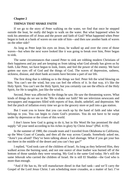#### <span id="page-5-0"></span>**THINGS THAT SHAKE FAITH**

If we go to the story of Peter walking on the water, we find that once he stepped outside the boat, he really did begin to walk on the water. But what happened when he took his attention off of Jesus and the power and faith of God? What happened when Peter began to look at a bank of waves on one side of him—and then saw another bank of waves on the other side?

As long as Peter kept his eyes on Jesus, he walked up and over the crest of those waves—but when the next wave looked like it was going to break over him, Peter began to sink.

The same circumstances that caused Peter to sink are robbing modern Christians of their happiness and joy and are keeping us from taking what God already has given us by faith. Like Peter, we have begun to look, listen, and feel the power of the enemy. We have gotten our eyes off of God and the things of God. The waves of depression, sadness, sickness, disease, and short bank accounts have become a part of our life.

The first thing that is robbing us is the things we feel. Peter felt the wind blowing on him. You can't see the wind, but you can feel the effects of it. In that way, it's like the Holy Spirit. You can't see the Holy Spirit, but you certainly can see the effects of the Holy Spirit, for He is tangible, just like the wind is.

Second, Peter was affected by the things he saw. He saw the threatening waves. What kinds of things do we see in the '90s to shake our faith? We see television newscasts and newspapers and magazines filled with reports of fear, doubt, unbelief, and depression. We feel the pinch of inflation every time we go to the grocery store or pull into a gas station.

But I want you to know that you can reach up by the hand of faith and take what belongs to you. You can begin to claim God's promises. You do not have to be swept under by depression or the crises of this world.

I don't know how God is going to do it, but in His Word He has promised He shall supply "all your need according to his riches in glory by Christ Jesus" (Phil. 4:19).

In the summer of 1980, the crusade team and I traveled from Oklahoma to California, up the West Coast of Canada, and then all the way across Canada. Somebody asked me, "Aren't you afraid? They've been talking about a fuel shortage. What if you get your bus out there in the middle of the desert and you can't buy gas?"

I replied, "God took care of the children of Israel. As long as they believed Him, they walked across the burning sand, and not one ounce of shoe leather was burned off of the bottom of those sandals they were wearing. My God is the same God today. He's still the same Jehovah who carried the children of Israel. He is still El Shaddai—the God who is more than enough.

"And if He has to, He will manufacture diesel in that fuel tank—and we'll carry the Gospel of the Lord Jesus Christ. I am scheduling more crusades, as a matter of fact. I've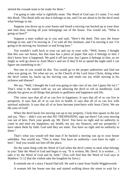alerted the crusade team to be ready for them."

I'm going to take what is rightfully mine. The Word of God says it's mine. I've read this Book. This Book tells me that it belongs to me, and I'm not about to let the devil steal what belongs to me.

Suppose you drove up to your house and found a moving van backed up to your door and men busy moving all your belongings out of the house. You would ask, "What is going on here?"

Suppose a man walked up to you and said, "Here's the deed. This says the house belongs to me, and I'm moving in. I've sold all this furniture, and I'm moving it out. I'm going to be moving my furniture in and living here."

You wouldn't walk back to your car and say to your wife, "Well, honey, I thought that this was our house, but that man has a piece of paper that says it belongs to him. I don't know how it happened. We paid it off last year, but I guess it belongs to him, so we might as well go down to Aunt Mary's and see if they'll let us spend the night until I can figure out something to do."

Not one of you would do this. You would go to the proper authorities and find out what was going on. Yet what are we, as the Church of the Lord Jesus Christ, doing when the devil comes by, backs up his moving van, and steals our joy while moving in his sickness and disease?

We say, "Well, I thought the Lord was going to take care of me, but I guess He isn't." That's what is the matter with us; we are allowing the devil to rob us needlessly. God already has given us all things that pertain to godliness and happiness and life.

This verse says that all of us can live in happiness. It says that all of us can live in prosperity. It says that all of us can live in health. It says that all of us can live with spiritual authority. It says that all of us have become joint-heirs with Jesus Christ. We are the sons of God!

When the devil backs his moving van up to my property, I look him square in the eye and say, "Hey— didn't you see that NO TRESPASSING sign out there? Get your moving van out of here. Pack your goods up, Mr. Devil. You have no right and no authority to come in and steal my happiness, my health, my joy, my finances, and my prosperity. I have taken them by faith. God said they are mine. You have no right and no authority to them."

That's what you would tell that man if he backed a moving van up to your house unbidden. You would say, "This is mine. You have no authority—you have no right here." And you would run him off the place.

Do the same thing with the Word of God when the devil comes to steal what belongs to you! Take the Word of God and begin to say, "It is written, Mr. Devil. It is written … I take it by the Word of God and by faith." (You will find that the Word of God says in Matthew 11:12 that the violent take the kingdom by force.)

It reminds me of a story I heard Dad tell. He said it came from Smith Wigglesworth.

A woman left her house one day and started walking down the street to wait for a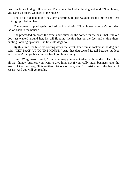bus. Her little old dog followed her. The woman looked at the dog and said, "Now, honey, you can't go today. Go back to the house."

The little old dog didn't pay any attention. It just wagged its tail more and kept trotting right behind her.

The woman stopped again, looked back, and said, "Now, honey, you can't go today. Go on back to the house."

She proceeded on down the street and waited on the corner for the bus. That little old dog just walked around her, his tail flopping, licking her on the feet and sitting there, panting, looking up at her, like little old dogs do.

By this time, the bus was coming down the street. The woman looked at the dog and said, "GET BACK UP TO THE HOUSE!" And that dog tucked its tail between its legs and—zoom!—it got back on that front porch in a hurry.

Smith Wigglesworth said, "That's the way you have to deal with the devil. He'll take all that 'honey' business you want to give him. But if you really mean business, take the Word of God and say, 'It is written. Get out of here, devil! I resist you in the Name of Jesus!' And you will get results."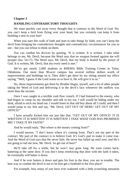#### <span id="page-8-0"></span>**HANDLING CONTRADICTORY THOUGHTS**

We must quickly cast away every thought that is contrary to the Word of God. No, you can't keep a bird from flying over your head, but you certainly can keep it from building a nest in your hair!

When you start this walk of faith and start to take things by faith, you can't keep the devil from bringing his contradictory thoughts and contradictory circumstances for you to see—but you can refuse to think on them.

You can combat his devices by quoting, "It is written. It is written. I take what belongs to me, Mr. Devil, because the Word says that no weapon formed against me will prosper (Isa. 54.17). The Word says, Mr. Devil, that my body is healed by the power of God. It is written, Mr. Devil, that my every need is met."

We've got nearly 2,000 students in RHEMA Bible Training Center in Tulsa, Oklahoma. Our more than 90-acre campus has several million dollars worth of improvements and buildings on it. They didn't get there by my sitting around my office saying, "Well, I guess if the Lord wants us to have it, He will give it to us."

No, those improvements got there by Brother Hagin, myself, and a lot of other people taking the Word of God and delivering it in the devil's face whenever the outflow was more than the income.

Once I was caught in a terrible cash flow crunch. If I had listened to the enemy, who had begun to camp on my shoulder and talk in my ear, I still would be hiding under my desk, afraid to stick my head out. I would listen to that old boy about all I could, and then I would jump to my feet and say, "Mr. Devil, GET OUT OF HERE! GET OUT OF MY OFFICE!"

I have actually kicked him out just like that. "GET OUT OF MY OFFICE! IT IS WRITTEN! IT IS WRITTEN! IT IS WRITTEN! I TAKE WHAT GOD HAS PROMISED ME! I TAKE IT BY FAITH!"

And he would reply, "But where is the money coming from?"

I would answer, "I don't know where it's coming from. That's not my part of the contract. My part of the contract is to believe God. It's God's part to make it come true. And the Word of God says that He never fails. He never has failed up until now, and He's not going to fail me now, Mr. Devil. So get out of here!"

He'll take off for a while, but he won't stay gone long. He soon comes back, battering at the same door. If you don't keep reinforcing that door with the faith it takes, he eventually will batter it down.

And if he ever batters it down and gets his foot in the door, you are in trouble. The best way to combat the devil is not to let him get a foothold in the first place!

For example, how many of you have ever wakened with a little scratching sensation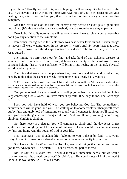in your throat? Usually we tend to ignore it, hoping it will go away. But by the end of the day, if we haven't dealt with it, the thing will have hold of you. It is harder to get your healing then, after it has hold of you, than it is in the morning when you have that first symptom.

Grab the Word of God and run the enemy away before he ever gets a good start unpacking. (It's always easier to move somebody out of a room before they unpack.)

Take it by faith. Symptoms may linger—you may have to clear your throat—but don't pay any attention to the symptoms.

Remember, the fig tree in the Bible story was dead when Jesus cursed it, even though its leaves still were waving green in the breeze. It wasn't until 24 hours later that those leaves turned brown and the disciples noticed it had died. The tree actually died when Jesus cursed it.

The minute you first reach out by faith and take hold of that sickness, disease, or whatever, and command it to turn loose, it becomes a reality in the spirit world. Your constant holding fast to your confession will bring it into reality in the natural, physical world in which you live.

The thing that stops most people when they reach out and take hold of what they need by faith is that their grasp is weak. Remember, God already has given you

32,000 promises. He has already given you all that pertains to life and godliness. What you must do by faith to receive these promises is reach out and grab them with a grip that can't be shaken by the least wind, wave, or any other contradictory circumstance. Hold onto these promises.

Yes, you may feel like your situation is holding you rather than you are holding it, but keep confessing God's Word. Say, "I've taken it by faith. It belongs to me. The Word says  $\mathsf{so."}$ 

Soon you will have hold of what you are believing God for. The contradictory circumstances will be gone, and you'll be walking on to another victory. Then you'll reach out by faith and grab hold of something else, and you'll conquer it. Soon you'll reach out and grab something else and conquer it, too. And you'll keep walking, confessing, climbing, climbing, climbing.

No, there never is a plateau. You will continue to climb until the day Jesus Christ splits the clouds of glory and takes us out of this world. There should be a continual taking by faith and living with the power of God in your life.

This happiness—this abundant life—belongs to you. Take it by faith. It is yours today. It is up to you— not God—whether or not it becomes a reality in your life.

God has said in His Word that He HATH given us all things that pertain to life and godliness. ALL things. (He healeth ALL our diseases, not part of them.)

Did He say in His Word that He would meet our immediate needs, but we would have to meet our little needs ourselves? Or did He say He would meet ALL of our needs? He said He would meet ALL of our needs.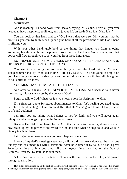#### **FAITH TAKES**

God is reaching His hand down from heaven, saying, "My child, here's all you ever needed to have happiness, godliness, and a joyous life on earth. Here it is! Here it is!"

You can look at that hand and say "Oh, I wish that were so. Oh, wouldn't that be nice!" Or you can, by faith, reach up and grab hold of all the provisions of life God's hand is offering you.

With your other hand, grab hold of the things that hinder you from enjoying godliness, health, wealth, and happiness. Your faith will activate God's power, and that power will flow through you to set you free from those hindrances.

BUT NEVER RELEASE YOUR HOLD ON GOD AS HE REACHES DOWN AND OFFERS THE PROVISIONS OF LIFE TO YOU.

You see, God's not going to come hit you over the head with a 20-pound sledgehammer and say, "Son, get in line. Here it is. Take it." He's not going to drop it on you. He's not going to spoon-feed you and force it down your mouth. No, all He's going to do is offer it. It's there.

YOU MUST TAKE IT BY FAITH. FAITH TAKES.

And after faith takes, FAITH NEVER TURNS LOOSE. And because faith never turns loose, it leads to success by the power of God.

Begin to talk to God. Whatever it is you need, quote the Scriptures to Him.

If it's finances, quote Scriptures about finances to Him. If it's healing you need, quote Scriptures about healing to Him. Remind Him that He "hath" given to us all that pertains to life and godliness.

Tell Him you are taking what belongs to you by faith, and you will never again relinquish what belongs to you in the Name of Jesus.

Because He HATH purchased for us ALL that pertains to life and godliness, we can now reach up by the power of the Word of God and take what belongs to us and walk in victory in Christ Jesus.

Faith rejoices now—not when you see it happen or manifest.

In one of my dad's meetings years ago, a little old man went down to the altar one Sunday and "claimed" his wife's salvation. After he claimed it by faith, he had a great Pentecostal time—a hilarious time—like the joyous time they had on the Day of Pentecost. You see, by faith he took it then.

A few days later, his wife attended church with him, went to the altar, and prayed through to salvation.

That night, her husband sat in the back of the church with his arms folded, just looking at her. The other church members, because they had been praying for her for a long time, were ecstatic. (She was the meanest woman in town,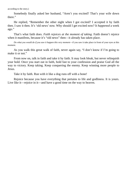according to the story.)

Somebody finally asked her husband, "Aren't you excited? That's your wife down there."

He replied, "Remember the other night when I got excited? I accepted it by faith then. I saw it then. It's 'old news' now. Why should I get excited now? It *happened* a week ago."

That's what faith does. *Faith rejoices at the moment of taking.* Faith doesn't rejoice when it manifests, because it's "old news" then—it already has taken place.

*Do what you would do if you saw it happen this very moment*—if you saw it take place in front of your eyes at this moment.

As you walk this great walk of faith, never again say, "I don't know if I'm going to make it or not."

From now on, talk in faith and take it by faith. It may look bleak, but never relinquish your hold. Once you start out in faith, hold fast to your confession and praise God all the way to victory. Keep taking. Keep conquering the enemy. Keep winning more people to Jesus.

Take it by faith. Run with it like a dog runs off with a bone!

Rejoice because you have everything that pertains to life and godliness. It is yours. Live like it—rejoice in it—and have a good time on the way to heaven.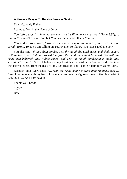## **A Sinner's Prayer To Receive Jesus as Savior**

Dear Heavenly Father …

I come to You in the Name of Jesus.

Your Word says, "… *him that cometh to me I will in no wise cast out"* (John 6:37), so I know You won't cast me out, but You take me in and I thank You for it.

You said in Your Word, *"Whosoever shall call upon the name of the Lord shall be saved"* (Rom. 10:13). I am calling on Your Name, so I know You have saved me now.

You also said *"if thou shalt confess with thy mouth the Lord Jesus, and shalt believe in thine heart that God hath raised him from the dead, thou shalt be saved. For with the heart man believeth unto righteousness; and with the mouth confession is made unto salvation"* (Rom. 10:9,10). I believe in my heart Jesus Christ is the Son of God. I believe that He was raised from the dead for my justification, and I confess Him now as my Lord.

Because Your Word says, "… *with the heart man believeth unto righteousness* … " and I do believe with my heart, I have now become the righteousness of God in Christ (2 Cor. 5:21) … And I am saved!

Thank You, Lord!

Signed\_

Date\_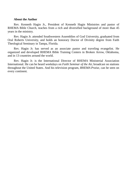#### **About the Author**

Rev. Kenneth Hagin Jr., President of Kenneth Hagin Ministries and pastor of RHEMA Bible Church, teaches from a rich and diversified background of more than 45 years in the ministry.

Rev. Hagin Jr. attended Southwestern Assemblies of God University, graduated from Oral Roberts University, and holds an honorary Doctor of Divinity degree from Faith Theological Seminary in Tampa, Florida.

Rev. Hagin Jr. has served as an associate pastor and traveling evangelist. He organized and developed RHEMA Bible Training Centers in Broken Arrow, Oklahoma, and in 13 countries around the world.

Rev. Hagin Jr. is the International Director of RHEMA Ministerial Association International. He can be heard weekdays on *Faith Seminar of the Air,* broadcast on stations throughout the United States. And his television program, *RHEMA Praise,* can be seen on every continent.